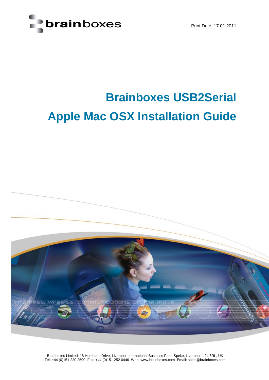

Print Date: 17.01.2011

## **Brainboxes USB2Serial Apple Mac OSX Installation Guide**



Brainboxes Limited, 18 Hurricane Drive, Liverpool International Business Park, Speke, Liverpool, L24 8RL, UK Tel: +44 (0)151 220 2500 Fax: +44 (0)151 252 0446 Web: www.brainboxes.com Email: sales@brainboxes.com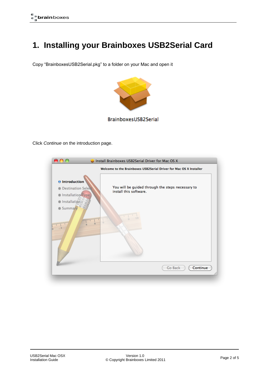## **1. Installing your Brainboxes USB2Serial Card**

Copy "BrainboxesUSB2Serial.pkg" to a folder on your Mac and open it



BrainboxesUSB2Serial

Click *Continue* on the introduction page.

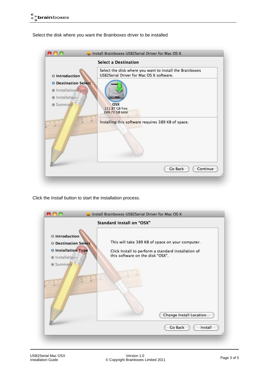Select the disk where you want the Brainboxes driver to be installed



Click the *Install* button to start the installation process.

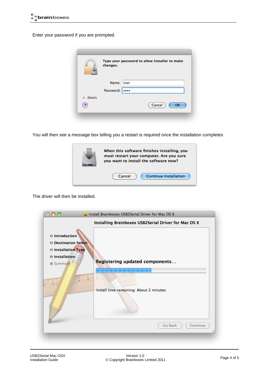Enter your password if you are prompted.

|                | Type your password to allow Installer to make<br>changes. |  |
|----------------|-----------------------------------------------------------|--|
|                | Name: User                                                |  |
|                | Password:<br>                                             |  |
| <b>Details</b> |                                                           |  |
| 7              | Cancel<br>OK                                              |  |
|                |                                                           |  |

You will then see a message box telling you a restart is required once the installation completes

| When this software finishes installing, you<br>must restart your computer. Are you sure<br>you want to install the software now? |
|----------------------------------------------------------------------------------------------------------------------------------|
| Continue Installation<br>Cancel                                                                                                  |

The driver will then be installed.

| $\Theta$ Introduction<br><b>O</b> Destination Select<br><b>O</b> Installation Type<br><b>O</b> Installation<br><b>Summary</b> | Install Brainboxes USB2Serial Driver for Mac OS X<br>Installing Brainboxes USB2Serial Driver for Mac OS X<br>Registering updated components |
|-------------------------------------------------------------------------------------------------------------------------------|---------------------------------------------------------------------------------------------------------------------------------------------|
| anguaguaguag<br><b>mpmpmpm</b><br>Б                                                                                           | Install time remaining: About 2 minutes                                                                                                     |
|                                                                                                                               | Go Back<br>Continue                                                                                                                         |